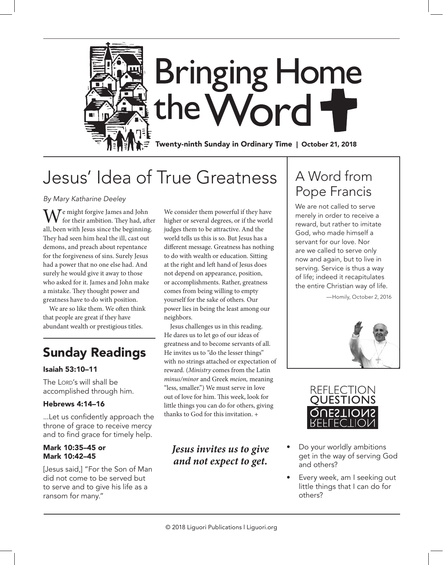

## Jesus' Idea of True Greatness

*By Mary Katharine Deeley*

We might forgive James and John<br>for their ambition. They had, after all, been with Jesus since the beginning. They had seen him heal the ill, cast out demons, and preach about repentance for the forgiveness of sins. Surely Jesus had a power that no one else had. And surely he would give it away to those who asked for it. James and John make a mistake. They thought power and greatness have to do with position.

We are so like them. We often think that people are great if they have abundant wealth or prestigious titles.

### Sunday Readings

### Isaiah 53:10–11

The LORD's will shall be accomplished through him.

### Hebrews 4:14–16

...Let us confidently approach the throne of grace to receive mercy and to find grace for timely help.

#### Mark 10:35–45 or Mark 10:42–45

[Jesus said,] "For the Son of Man did not come to be served but to serve and to give his life as a ransom for many."

We consider them powerful if they have higher or several degrees, or if the world judges them to be attractive. And the world tells us this is so. But Jesus has a different message. Greatness has nothing to do with wealth or education. Sitting at the right and left hand of Jesus does not depend on appearance, position, or accomplishments. Rather, greatness comes from being willing to empty yourself for the sake of others. Our power lies in being the least among our neighbors.

Jesus challenges us in this reading. He dares us to let go of our ideas of greatness and to become servants of all. He invites us to "do the lesser things" with no strings attached or expectation of reward. (*Ministry* comes from the Latin *minus/minor* and Greek *meion,* meaning "less, smaller.") We must serve in love out of love for him. This week, look for little things you can do for others, giving thanks to God for this invitation. +

### *Jesus invites us to give and not expect to get.*

## A Word from Pope Francis

We are not called to serve merely in order to receive a reward, but rather to imitate God, who made himself a servant for our love. Nor are we called to serve only now and again, but to live in serving. Service is thus a way of life; indeed it recapitulates the entire Christian way of life.

—Homily, October 2, 2016





- Do your worldly ambitions get in the way of serving God and others?
- Every week, am I seeking out little things that I can do for others?